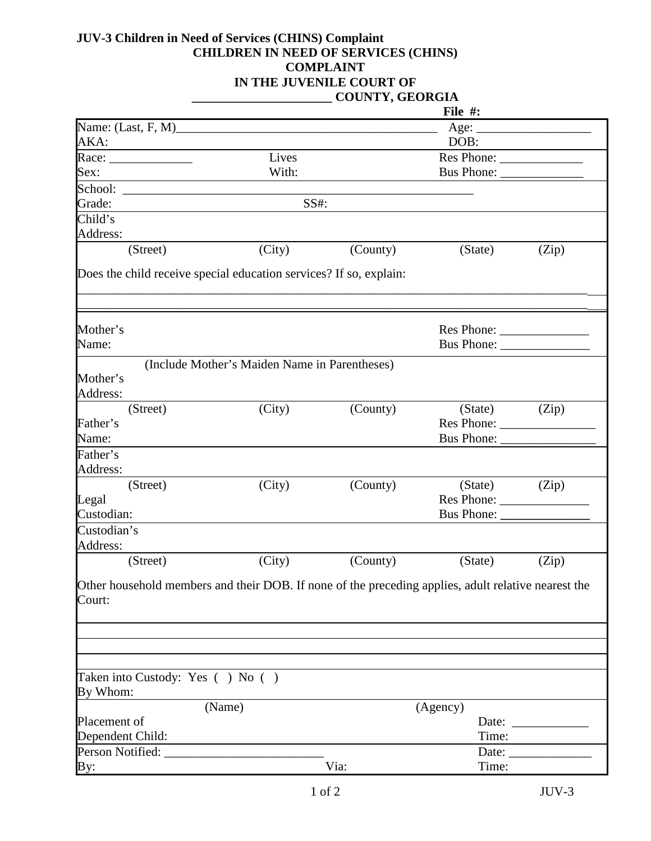## **JUV-3 Children in Need of Services (CHINS) Complaint CHILDREN IN NEED OF SERVICES (CHINS) COMPLAINT IN THE JUVENILE COURT OF \_\_\_\_\_\_\_\_\_\_\_\_\_\_\_\_\_\_\_\_\_\_ COUNTY, GEORGIA**

|                                                                                                               |                                               |          | File #:    |       |
|---------------------------------------------------------------------------------------------------------------|-----------------------------------------------|----------|------------|-------|
|                                                                                                               |                                               |          | Age:       |       |
| AKA:                                                                                                          |                                               |          | DOB:       |       |
|                                                                                                               | Lives                                         |          | Res Phone: |       |
| Sex:                                                                                                          | With:                                         |          | Bus Phone: |       |
|                                                                                                               |                                               |          |            |       |
| Grade:                                                                                                        | SS#:                                          |          |            |       |
| Child's                                                                                                       |                                               |          |            |       |
| Address:                                                                                                      |                                               |          |            |       |
| (Street)                                                                                                      | (City)                                        | (County) | (State)    | (Zip) |
| Does the child receive special education services? If so, explain:                                            |                                               |          |            |       |
| Mother's                                                                                                      |                                               |          | Res Phone: |       |
| Name:                                                                                                         |                                               |          | Bus Phone: |       |
|                                                                                                               | (Include Mother's Maiden Name in Parentheses) |          |            |       |
| Mother's<br>Address:                                                                                          |                                               |          |            |       |
| (Street)                                                                                                      | (City)                                        | (County) | (State)    | (Zip) |
| Father's                                                                                                      |                                               |          | Res Phone: |       |
| Name:                                                                                                         |                                               |          | Bus Phone: |       |
| Father's                                                                                                      |                                               |          |            |       |
| Address:                                                                                                      |                                               |          |            |       |
| (Street)                                                                                                      | (City)                                        | (County) | (State)    | (Zip) |
| Legal                                                                                                         |                                               |          | Res Phone: |       |
| Custodian:                                                                                                    |                                               |          |            |       |
| Custodian's<br>Address:                                                                                       |                                               |          |            |       |
| (Street)                                                                                                      | (City)                                        | (County) | (State)    | (Zip) |
| Other household members and their DOB. If none of the preceding applies, adult relative nearest the<br>Court: |                                               |          |            |       |
|                                                                                                               |                                               |          |            |       |
|                                                                                                               |                                               |          |            |       |
| Taken into Custody: Yes () No ()<br>By Whom:                                                                  |                                               |          |            |       |
|                                                                                                               | (Name)                                        |          | (Agency)   |       |
| Placement of                                                                                                  |                                               |          | Date:      |       |
| Dependent Child:                                                                                              |                                               |          | Time:      |       |
| Person Notified:                                                                                              |                                               |          | Date:      |       |
| By:                                                                                                           |                                               | Via:     | Time:      |       |